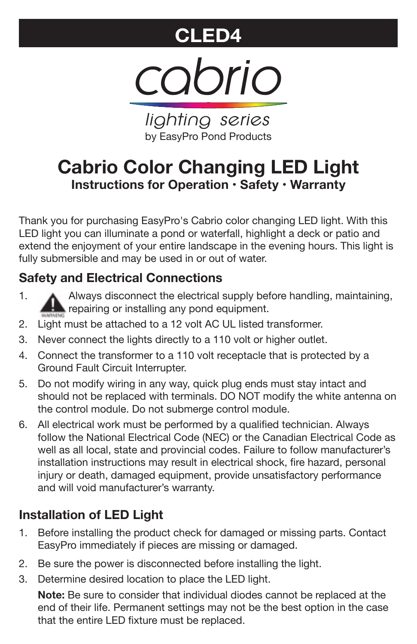# **CLED4**



*lighting series* by EasyPro Pond Products

# **Cabrio Color Changing LED Light Instructions for Operation • Safety • Warranty**

Thank you for purchasing EasyPro's Cabrio color changing LED light. With this LED light you can illuminate a pond or waterfall, highlight a deck or patio and extend the enjoyment of your entire landscape in the evening hours. This light is fully submersible and may be used in or out of water.

## **Safety and Electrical Connections**

- 1. Always disconnect the electrical supply before handling, maintaining, repairing or installing any pond equipment.
- 2. Light must be attached to a 12 volt AC UL listed transformer.
- 3. Never connect the lights directly to a 110 volt or higher outlet.
- 4. Connect the transformer to a 110 volt receptacle that is protected by a Ground Fault Circuit Interrupter.
- 5. Do not modify wiring in any way, quick plug ends must stay intact and should not be replaced with terminals. DO NOT modify the white antenna on the control module. Do not submerge control module.
- 6. All electrical work must be performed by a qualified technician. Always follow the National Electrical Code (NEC) or the Canadian Electrical Code as well as all local, state and provincial codes. Failure to follow manufacturer's installation instructions may result in electrical shock, fire hazard, personal injury or death, damaged equipment, provide unsatisfactory performance and will void manufacturer's warranty.

### **Installation of LED Light**

- 1. Before installing the product check for damaged or missing parts. Contact EasyPro immediately if pieces are missing or damaged.
- 2. Be sure the power is disconnected before installing the light.
- 3. Determine desired location to place the LED light.

**Note:** Be sure to consider that individual diodes cannot be replaced at the end of their life. Permanent settings may not be the best option in the case that the entire LED fixture must be replaced.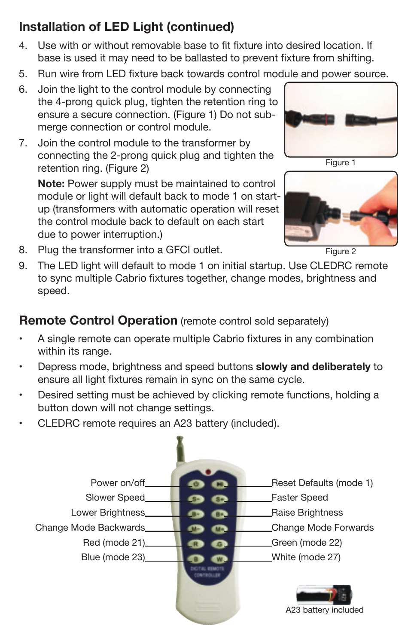# **Installation of LED Light (continued)**

- 4. Use with or without removable base to fit fixture into desired location. If base is used it may need to be ballasted to prevent fixture from shifting.
- 5. Run wire from LED fixture back towards control module and power source.
- 6. Join the light to the control module by connecting the 4-prong quick plug, tighten the retention ring to ensure a secure connection. (Figure 1) Do not submerge connection or control module.
- 7. Join the control module to the transformer by connecting the 2-prong quick plug and tighten the retention ring. (Figure 2)

**Note:** Power supply must be maintained to control module or light will default back to mode 1 on startup (transformers with automatic operation will reset the control module back to default on each start due to power interruption.)



Figure 1



Figure 2

- 8. Plug the transformer into a GFCI outlet.
- 9. The LED light will default to mode 1 on initial startup. Use CLEDRC remote to sync multiple Cabrio fixtures together, change modes, brightness and speed.

### **Remote Control Operation** (remote control sold separately)

- • A single remote can operate multiple Cabrio fixtures in any combination within its range.
- • Depress mode, brightness and speed buttons **slowly and deliberately** to ensure all light fixtures remain in sync on the same cycle.
- • Desired setting must be achieved by clicking remote functions, holding a button down will not change settings.
- •CLEDRC remote requires an A23 battery (included).

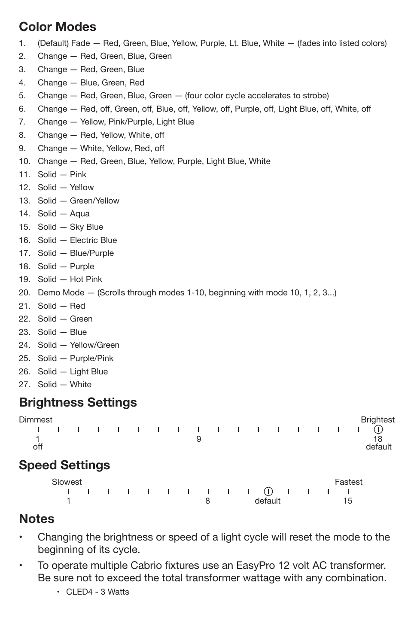#### **Color Modes**

- 1. (Default) Fade Red, Green, Blue, Yellow, Purple, Lt. Blue, White (fades into listed colors)
- 2. Change Red, Green, Blue, Green
- 3. Change Red, Green, Blue
- 4. Change Blue, Green, Red
- 5. Change Red, Green, Blue, Green (four color cycle accelerates to strobe)
- 6. Change Red, off, Green, off, Blue, off, Yellow, off, Purple, off, Light Blue, off, White, off
- 7. Change Yellow, Pink/Purple, Light Blue
- 8. Change Red, Yellow, White, off
- 9. Change White, Yellow, Red, off
- 10. Change Red, Green, Blue, Yellow, Purple, Light Blue, White
- 11. Solid Pink
- 12. Solid Yellow
- 13. Solid Green/Yellow
- 14. Solid Aqua
- 15. Solid Sky Blue
- 16. Solid Electric Blue
- 17. Solid Blue/Purple
- 18. Solid Purple
- 19. Solid Hot Pink
- 20. Demo Mode (Scrolls through modes 1-10, beginning with mode 10, 1, 2, 3...)
- 21. Solid Red
- 22. Solid Green
- 23. Solid Blue
- 24. Solid Yellow/Green
- 25. Solid Purple/Pink
- 26. Solid Light Blue
- 27. Solid White

#### **Brightness Settings**

| Dimmest |                       |  |  |  |                          |                          |           |                   |              |  |         | <b>Brightest</b> |
|---------|-----------------------|--|--|--|--------------------------|--------------------------|-----------|-------------------|--------------|--|---------|------------------|
|         |                       |  |  |  |                          | <b>Contract Contract</b> |           | $\sim$ 1 $\sim$ 1 | $\mathbf{I}$ |  |         |                  |
| off     |                       |  |  |  | 9                        |                          |           |                   |              |  |         | 18<br>default    |
|         | <b>Speed Settings</b> |  |  |  |                          |                          |           |                   |              |  |         |                  |
|         | Slowest               |  |  |  | <b>Contract Contract</b> |                          | $\sim$ 1. |                   | (1)          |  | Fastest |                  |

1 8 default 15

#### **Notes**

- • Changing the brightness or speed of a light cycle will reset the mode to the beginning of its cycle.
- • To operate multiple Cabrio fixtures use an EasyPro 12 volt AC transformer. Be sure not to exceed the total transformer wattage with any combination.
	- CLED4 3 Watts